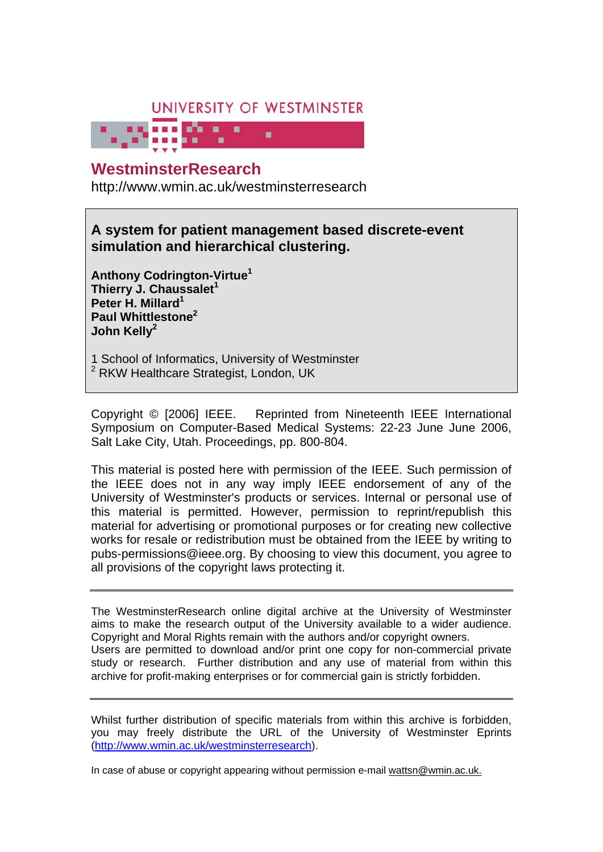# UNIVERSITY OF WESTMINSTER

# **WestminsterResearch**

http://www.wmin.ac.uk/westminsterresearch

**A system for patient management based discrete-event simulation and hierarchical clustering.** 

**Anthony Codrington-Virtue1** Thierry J. Chaussalet<sup>1</sup> Peter H. Millard<sup>1</sup> **Paul Whittlestone2** John Kelly<sup>2</sup>

1 School of Informatics, University of Westminster 2 RKW Healthcare Strategist, London, UK

Copyright © [2006] IEEE. Reprinted from Nineteenth IEEE International Symposium on Computer-Based Medical Systems: 22-23 June June 2006, Salt Lake City, Utah. Proceedings, pp. 800-804.

This material is posted here with permission of the IEEE. Such permission of the IEEE does not in any way imply IEEE endorsement of any of the University of Westminster's products or services. Internal or personal use of this material is permitted. However, permission to reprint/republish this material for advertising or promotional purposes or for creating new collective works for resale or redistribution must be obtained from the IEEE by writing to pubs-permissions@ieee.org. By choosing to view this document, you agree to all provisions of the copyright laws protecting it.

The WestminsterResearch online digital archive at the University of Westminster aims to make the research output of the University available to a wider audience. Copyright and Moral Rights remain with the authors and/or copyright owners. Users are permitted to download and/or print one copy for non-commercial private study or research. Further distribution and any use of material from within this archive for profit-making enterprises or for commercial gain is strictly forbidden.

Whilst further distribution of specific materials from within this archive is forbidden, you may freely distribute the URL of the University of Westminster Eprints (http://www.wmin.ac.uk/westminsterresearch).

In case of abuse or copyright appearing without permission e-mail wattsn@wmin.ac.uk.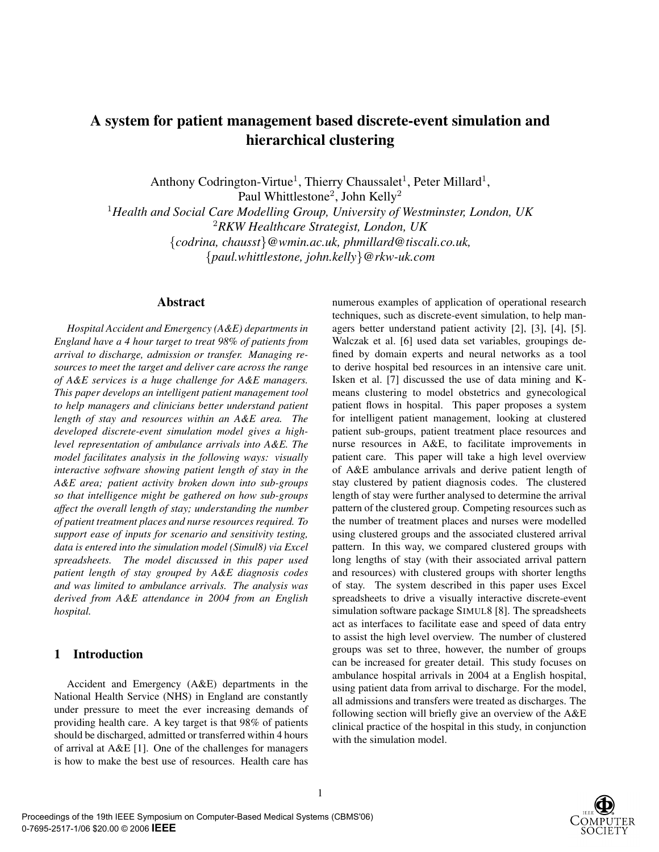# A system for patient management based discrete-event simulation and hierarchical clustering

Anthony Codrington-Virtue<sup>1</sup>, Thierry Chaussalet<sup>1</sup>, Peter Millard<sup>1</sup>, Paul Whittlestone<sup>2</sup>, John Kelly<sup>2</sup>

<sup>1</sup>*Health and Social Care Modelling Group, University of Westminster, London, UK*

<sup>2</sup>*RKW Healthcare Strategist, London, UK*

{*codrina, chausst*}*@wmin.ac.uk, phmillard@tiscali.co.uk,* {*paul.whittlestone, john.kelly*}*@rkw-uk.com*

### Abstract

*Hospital Accident and Emergency (A&E) departments in England have a 4 hour target to treat 98% of patients from arrival to discharge, admission or transfer. Managing resources to meet the target and deliver care across the range of A&E services is a huge challenge for A&E managers. This paper develops an intelligent patient management tool to help managers and clinicians better understand patient length of stay and resources within an A&E area. The developed discrete-event simulation model gives a highlevel representation of ambulance arrivals into A&E. The model facilitates analysis in the following ways: visually interactive software showing patient length of stay in the A&E area; patient activity broken down into sub-groups so that intelligence might be gathered on how sub-groups affect the overall length of stay; understanding the number of patient treatment places and nurse resources required. To support ease of inputs for scenario and sensitivity testing, data is entered into the simulation model (Simul8) via Excel spreadsheets. The model discussed in this paper used patient length of stay grouped by A&E diagnosis codes and was limited to ambulance arrivals. The analysis was derived from A&E attendance in 2004 from an English hospital.*

## 1 Introduction

Accident and Emergency (A&E) departments in the National Health Service (NHS) in England are constantly under pressure to meet the ever increasing demands of providing health care. A key target is that 98% of patients should be discharged, admitted or transferred within 4 hours of arrival at A&E [1]. One of the challenges for managers is how to make the best use of resources. Health care has numerous examples of application of operational research techniques, such as discrete-event simulation, to help managers better understand patient activity [2], [3], [4], [5]. Walczak et al. [6] used data set variables, groupings defined by domain experts and neural networks as a tool to derive hospital bed resources in an intensive care unit. Isken et al. [7] discussed the use of data mining and Kmeans clustering to model obstetrics and gynecological patient flows in hospital. This paper proposes a system for intelligent patient management, looking at clustered patient sub-groups, patient treatment place resources and nurse resources in A&E, to facilitate improvements in patient care. This paper will take a high level overview of A&E ambulance arrivals and derive patient length of stay clustered by patient diagnosis codes. The clustered length of stay were further analysed to determine the arrival pattern of the clustered group. Competing resources such as the number of treatment places and nurses were modelled using clustered groups and the associated clustered arrival pattern. In this way, we compared clustered groups with long lengths of stay (with their associated arrival pattern and resources) with clustered groups with shorter lengths of stay. The system described in this paper uses Excel spreadsheets to drive a visually interactive discrete-event simulation software package SIMUL8 [8]. The spreadsheets act as interfaces to facilitate ease and speed of data entry to assist the high level overview. The number of clustered groups was set to three, however, the number of groups can be increased for greater detail. This study focuses on ambulance hospital arrivals in 2004 at a English hospital, using patient data from arrival to discharge. For the model, all admissions and transfers were treated as discharges. The following section will briefly give an overview of the A&E clinical practice of the hospital in this study, in conjunction with the simulation model.

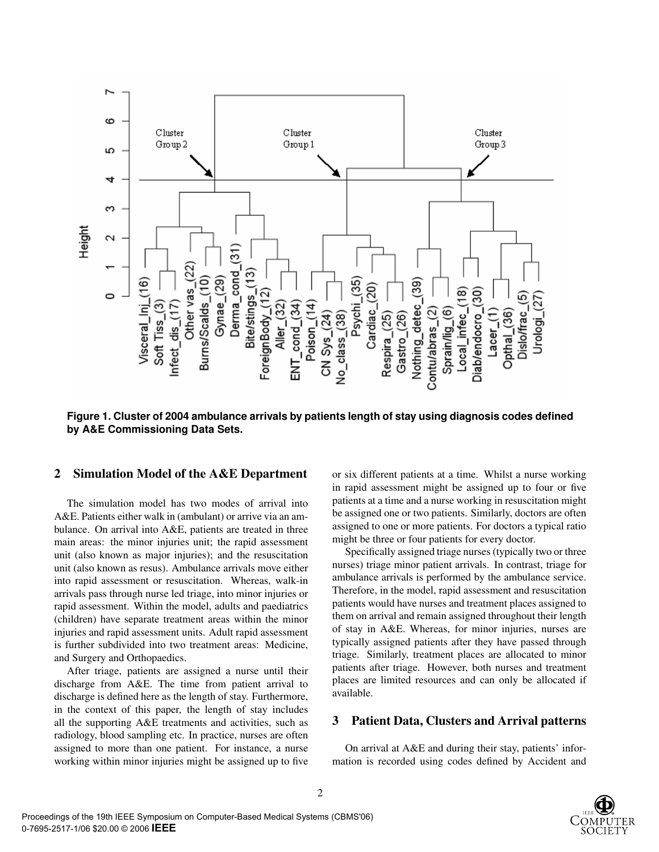

**Figure 1. Cluster of 2004 ambulance arrivals by patients length of stay using diagnosis codes defined by A&E Commissioning Data Sets.**

#### 2 Simulation Model of the A&E Department

The simulation model has two modes of arrival into A&E. Patients either walk in (ambulant) or arrive via an ambulance. On arrival into A&E, patients are treated in three main areas: the minor injuries unit; the rapid assessment unit (also known as major injuries); and the resuscitation unit (also known as resus). Ambulance arrivals move either into rapid assessment or resuscitation. Whereas, walk-in arrivals pass through nurse led triage, into minor injuries or rapid assessment. Within the model, adults and paediatrics (children) have separate treatment areas within the minor injuries and rapid assessment units. Adult rapid assessment is further subdivided into two treatment areas: Medicine, and Surgery and Orthopaedics.

After triage, patients are assigned a nurse until their discharge from A&E. The time from patient arrival to discharge is defined here as the length of stay. Furthermore, in the context of this paper, the length of stay includes all the supporting A&E treatments and activities, such as radiology, blood sampling etc. In practice, nurses are often assigned to more than one patient. For instance, a nurse working within minor injuries might be assigned up to five

or six different patients at a time. Whilst a nurse working in rapid assessment might be assigned up to four or five patients at a time and a nurse working in resuscitation might be assigned one or two patients. Similarly, doctors are often assigned to one or more patients. For doctors a typical ratio might be three or four patients for every doctor.

Specifically assigned triage nurses (typically two or three nurses) triage minor patient arrivals. In contrast, triage for ambulance arrivals is performed by the ambulance service. Therefore, in the model, rapid assessment and resuscitation patients would have nurses and treatment places assigned to them on arrival and remain assigned throughout their length of stay in A&E. Whereas, for minor injuries, nurses are typically assigned patients after they have passed through triage. Similarly, treatment places are allocated to minor patients after triage. However, both nurses and treatment places are limited resources and can only be allocated if available.

#### 3 Patient Data, Clusters and Arrival patterns

On arrival at A&E and during their stay, patients' information is recorded using codes defined by Accident and

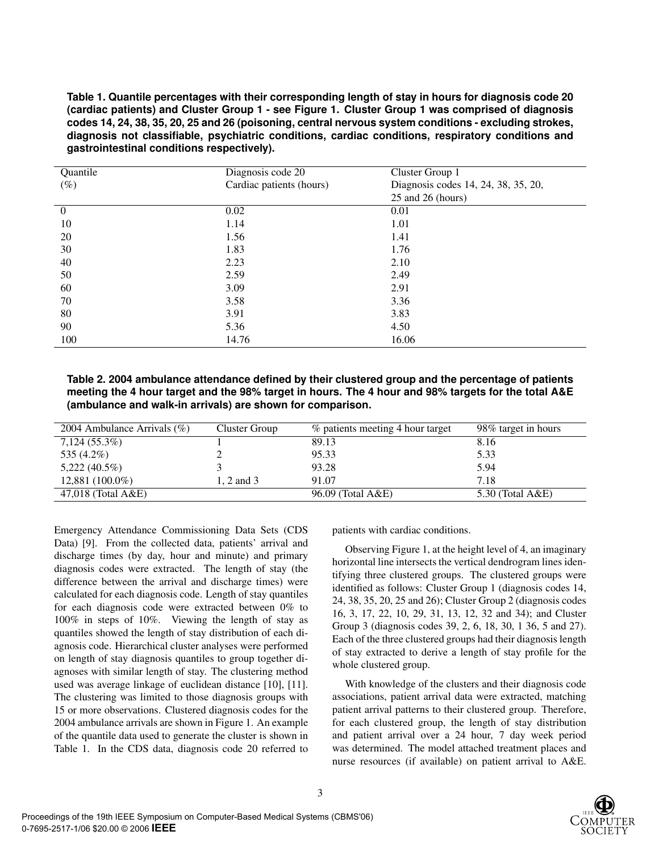**Table 1. Quantile percentages with their corresponding length of stay in hours for diagnosis code 20 (cardiac patients) and Cluster Group 1 - see Figure 1. Cluster Group 1 was comprised of diagnosis codes 14, 24, 38, 35, 20, 25 and 26 (poisoning, central nervous system conditions - excluding strokes, diagnosis not classifiable, psychiatric conditions, cardiac conditions, respiratory conditions and gastrointestinal conditions respectively).**

| Quantile         | Diagnosis code 20        | Cluster Group 1                     |  |
|------------------|--------------------------|-------------------------------------|--|
| $(\%)$           | Cardiac patients (hours) | Diagnosis codes 14, 24, 38, 35, 20, |  |
|                  |                          | $25$ and $26$ (hours)               |  |
| $\boldsymbol{0}$ | 0.02                     | 0.01                                |  |
| 10               | 1.14                     | 1.01                                |  |
| 20               | 1.56                     | 1.41                                |  |
| 30               | 1.83                     | 1.76                                |  |
| 40               | 2.23                     | 2.10                                |  |
| 50               | 2.59                     | 2.49                                |  |
| 60               | 3.09                     | 2.91                                |  |
| 70               | 3.58                     | 3.36                                |  |
| 80               | 3.91                     | 3.83                                |  |
| 90               | 5.36                     | 4.50                                |  |
| 100              | 14.76                    | 16.06                               |  |

### **Table 2. 2004 ambulance attendance defined by their clustered group and the percentage of patients meeting the 4 hour target and the 98% target in hours. The 4 hour and 98% targets for the total A&E (ambulance and walk-in arrivals) are shown for comparison.**

| 2004 Ambulance Arrivals $(\%)$ | Cluster Group | % patients meeting 4 hour target | 98% target in hours |
|--------------------------------|---------------|----------------------------------|---------------------|
| 7,124(55.3%)                   |               | 89.13                            | 8.16                |
| 535 (4.2%)                     |               | 95.33                            | 5.33                |
| $5,222(40.5\%)$                |               | 93.28                            | 5.94                |
| $12,881(100.0\%)$              | 1, 2 and 3    | 91.07                            | 7.18                |
| $47,018$ (Total A&E)           |               | 96.09 (Total A&E)                | 5.30 (Total $A&E$ ) |

Emergency Attendance Commissioning Data Sets (CDS Data) [9]. From the collected data, patients' arrival and discharge times (by day, hour and minute) and primary diagnosis codes were extracted. The length of stay (the difference between the arrival and discharge times) were calculated for each diagnosis code. Length of stay quantiles for each diagnosis code were extracted between 0% to 100% in steps of 10%. Viewing the length of stay as quantiles showed the length of stay distribution of each diagnosis code. Hierarchical cluster analyses were performed on length of stay diagnosis quantiles to group together diagnoses with similar length of stay. The clustering method used was average linkage of euclidean distance [10], [11]. The clustering was limited to those diagnosis groups with 15 or more observations. Clustered diagnosis codes for the 2004 ambulance arrivals are shown in Figure 1. An example of the quantile data used to generate the cluster is shown in Table 1. In the CDS data, diagnosis code 20 referred to patients with cardiac conditions.

Observing Figure 1, at the height level of 4, an imaginary horizontal line intersects the vertical dendrogram lines identifying three clustered groups. The clustered groups were identified as follows: Cluster Group 1 (diagnosis codes 14, 24, 38, 35, 20, 25 and 26); Cluster Group 2 (diagnosis codes 16, 3, 17, 22, 10, 29, 31, 13, 12, 32 and 34); and Cluster Group 3 (diagnosis codes 39, 2, 6, 18, 30, 1 36, 5 and 27). Each of the three clustered groups had their diagnosis length of stay extracted to derive a length of stay profile for the whole clustered group.

With knowledge of the clusters and their diagnosis code associations, patient arrival data were extracted, matching patient arrival patterns to their clustered group. Therefore, for each clustered group, the length of stay distribution and patient arrival over a 24 hour, 7 day week period was determined. The model attached treatment places and nurse resources (if available) on patient arrival to A&E.

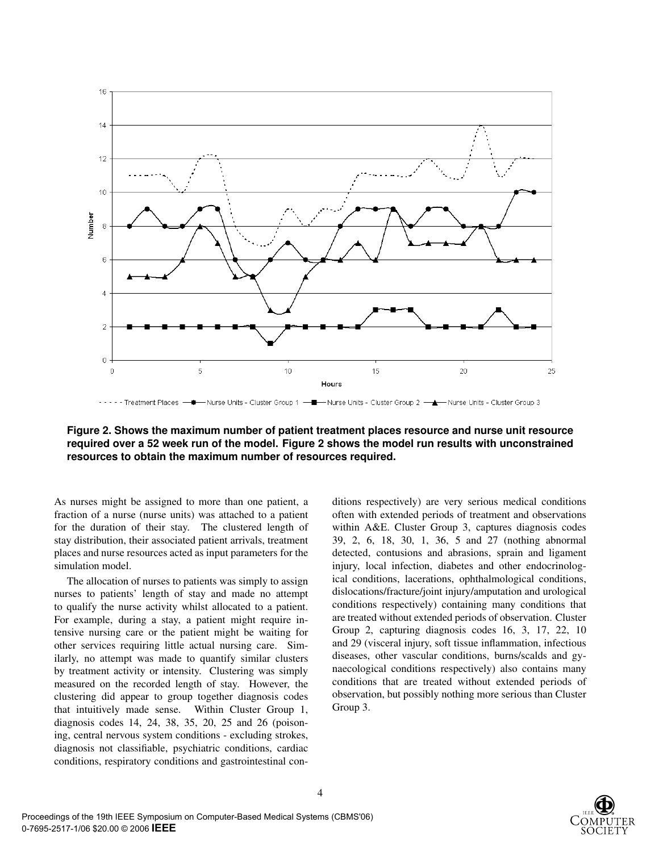

**Figure 2. Shows the maximum number of patient treatment places resource and nurse unit resource required over a 52 week run of the model. Figure 2 shows the model run results with unconstrained resources to obtain the maximum number of resources required.**

As nurses might be assigned to more than one patient, a fraction of a nurse (nurse units) was attached to a patient for the duration of their stay. The clustered length of stay distribution, their associated patient arrivals, treatment places and nurse resources acted as input parameters for the simulation model.

The allocation of nurses to patients was simply to assign nurses to patients' length of stay and made no attempt to qualify the nurse activity whilst allocated to a patient. For example, during a stay, a patient might require intensive nursing care or the patient might be waiting for other services requiring little actual nursing care. Similarly, no attempt was made to quantify similar clusters by treatment activity or intensity. Clustering was simply measured on the recorded length of stay. However, the clustering did appear to group together diagnosis codes that intuitively made sense. Within Cluster Group 1, diagnosis codes 14, 24, 38, 35, 20, 25 and 26 (poisoning, central nervous system conditions - excluding strokes, diagnosis not classifiable, psychiatric conditions, cardiac conditions, respiratory conditions and gastrointestinal conditions respectively) are very serious medical conditions often with extended periods of treatment and observations within A&E. Cluster Group 3, captures diagnosis codes 39, 2, 6, 18, 30, 1, 36, 5 and 27 (nothing abnormal detected, contusions and abrasions, sprain and ligament injury, local infection, diabetes and other endocrinological conditions, lacerations, ophthalmological conditions, dislocations/fracture/joint injury/amputation and urological conditions respectively) containing many conditions that are treated without extended periods of observation. Cluster Group 2, capturing diagnosis codes 16, 3, 17, 22, 10 and 29 (visceral injury, soft tissue inflammation, infectious diseases, other vascular conditions, burns/scalds and gynaecological conditions respectively) also contains many conditions that are treated without extended periods of observation, but possibly nothing more serious than Cluster Group 3.